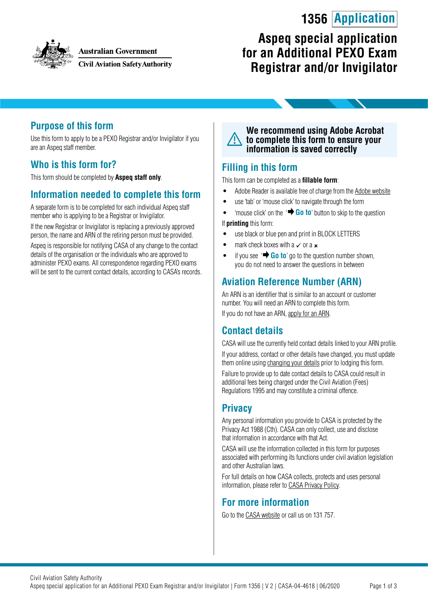# **1356 Application**



#### **Australian Government**

**Civil Aviation Safety Authority** 

## **Aspeq special application for an Additional PEXO Exam Registrar and/or Invigilator**

### **Purpose of this form**

Use this form to apply to be a PEXO Registrar and/or Invigilator if you are an Aspeq staff member.

### **Who is this form for?**

This form should be completed by **Aspeq staff only**.

### **Information needed to complete this form**

A separate form is to be completed for each individual Aspeq staff member who is applying to be a Registrar or Invigilator.

If the new Registrar or Invigilator is replacing a previously approved person, the name and ARN of the retiring person must be provided.

Aspeq is responsible for notifying CASA of any change to the contact details of the organisation or the individuals who are approved to administer PEXO exams. All correspondence regarding PEXO exams will be sent to the current contact details, according to CASA's records.

#### **We recommend using Adobe Acrobat to complete this form to ensure your information is saved correctly**

### **Filling in this form**

This form can be completed as a **fillable form**:

- Adobe Reader is available free of charge from the [Adobe website](https://get.adobe.com/reader/)
- use 'tab' or 'mouse click' to navigate through the form
- 'mouse click' on the ' **Go to**' button to skip to the question If **printing** this form:
- 
- use black or blue pen and print in BLOCK LETTERS
- mark check boxes with a  $\times$  or a  $\times$
- if you see  $\rightarrow$  **Go to**' go to the question number shown, you do not need to answer the questions in between

## **Aviation Reference Number (ARN)**

An ARN is an identifier that is similar to an account or customer number. You will need an ARN to complete this form. If you do not have an ARN, [apply for an ARN](https://www.casa.gov.au/licences-and-certification/individual-licensing/applying-aviation-reference-number-arn).

### **Contact details**

CASA will use the currently held contact details linked to your ARN profile. If your address, contact or other details have changed, you must update them online using [changing your details](https://www.casa.gov.au/licences-and-certification/individual-licensing/licence-information/changing-your-details) prior to lodging this form.

Failure to provide up to date contact details to CASA could result in additional fees being charged under the Civil Aviation (Fees) Regulations 1995 and may constitute a criminal offence.

## **Privacy**

Any personal information you provide to CASA is protected by the Privacy Act 1988 (Cth). CASA can only collect, use and disclose that information in accordance with that Act.

CASA will use the information collected in this form for purposes associated with performing its functions under civil aviation legislation and other Australian laws.

For full details on how CASA collects, protects and uses personal information, please refer to [CASA Privacy Policy](http://www.casa.gov.au/privacy-policy).

### **For more information**

Go to the [CASA website](http://www.casa.gov.au) or call us on 131 757.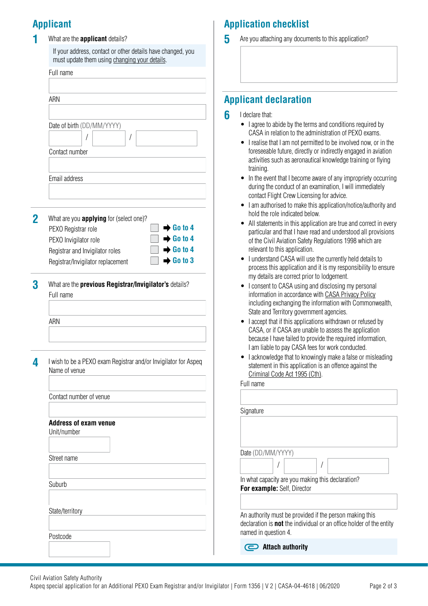## **Applicant**

**1** What are the **applicant** details?

If your address, contact or other details have changed, you must update them using [changing your details](https://www.casa.gov.au/licences-and-certification/individual-licensing/licence-information/changing-your-details).

|                                                                                  | ARN                                                                                            |  |  |
|----------------------------------------------------------------------------------|------------------------------------------------------------------------------------------------|--|--|
|                                                                                  |                                                                                                |  |  |
|                                                                                  | Date of birth (DD/MM/YYYY)<br>T<br>T                                                           |  |  |
|                                                                                  | Contact number                                                                                 |  |  |
|                                                                                  | Email address                                                                                  |  |  |
|                                                                                  | What are you <b>applying</b> for (select one)?<br>$\rightarrow$ Go to 4<br>PEXO Registrar role |  |  |
|                                                                                  | $\rightarrow$ Go to 4<br>PEXO Invigilator role                                                 |  |  |
|                                                                                  | $\rightarrow$ Go to 4<br>Registrar and Invigilator roles                                       |  |  |
|                                                                                  | $\rightarrow$ Go to 3<br>Registrar/Invigilator replacement                                     |  |  |
|                                                                                  | What are the previous Registrar/Invigilator's details?<br>Full name                            |  |  |
|                                                                                  | ARN                                                                                            |  |  |
| I wish to be a PEXO exam Registrar and/or Invigilator for Aspeq<br>Name of venue |                                                                                                |  |  |
|                                                                                  | Contact number of venue                                                                        |  |  |
|                                                                                  | <b>Address of exam venue</b><br>Unit/number                                                    |  |  |
|                                                                                  | Street name                                                                                    |  |  |
|                                                                                  | Suburb                                                                                         |  |  |
|                                                                                  | State/territory                                                                                |  |  |
|                                                                                  |                                                                                                |  |  |
|                                                                                  | Postcode                                                                                       |  |  |

## **Application checklist**

**5** Are you attaching any documents to this application?

## **Applicant declaration**

- **6** I declare that:
	- I agree to abide by the terms and conditions required by CASA in relation to the administration of PEXO exams.
	- I realise that I am not permitted to be involved now, or in the foreseeable future, directly or indirectly engaged in aviation activities such as aeronautical knowledge training or flying training.
	- In the event that I become aware of any impropriety occurring during the conduct of an examination, I will immediately contact Flight Crew Licensing for advice.
	- I am authorised to make this application/notice/authority and hold the role indicated below.
	- All statements in this application are true and correct in every particular and that I have read and understood all provisions of the Civil Aviation Safety Regulations 1998 which are relevant to this application.
	- I understand CASA will use the currently held details to process this application and it is my responsibility to ensure my details are correct prior to lodgement.
	- I consent to CASA using and disclosing my personal information in accordance with [CASA Privacy Policy](http://www.casa.gov.au/privacy-policy) including exchanging the information with Commonwealth, State and Territory government agencies.
	- I accept that if this applications withdrawn or refused by CASA, or if CASA are unable to assess the application because I have failed to provide the required information, I am liable to pay CASA fees for work conducted.
	- I acknowledge that to knowingly make a false or misleading statement in this application is an offence against the [Criminal Code Act 1995 \(Cth\).](https://www.legislation.gov.au/Details/C2018C00244)

Full name

| Signature |                             |                                                                                                                                       |  |
|-----------|-----------------------------|---------------------------------------------------------------------------------------------------------------------------------------|--|
|           |                             |                                                                                                                                       |  |
|           |                             |                                                                                                                                       |  |
|           |                             |                                                                                                                                       |  |
|           | Date (DD/MM/YYYY)           |                                                                                                                                       |  |
|           |                             |                                                                                                                                       |  |
|           |                             | In what capacity are you making this declaration?                                                                                     |  |
|           | For example: Self, Director |                                                                                                                                       |  |
|           |                             |                                                                                                                                       |  |
|           | named in question 4.        | An authority must be provided if the person making this<br>declaration is <b>not</b> the individual or an office holder of the entity |  |
|           | Attach authority            |                                                                                                                                       |  |

Aspeq special application for an Additional PEXO Exam Registrar and/or Invigilator | Form 1356 | V 2 | CASA-04-4618 | 06/2020 Page 2 of 3